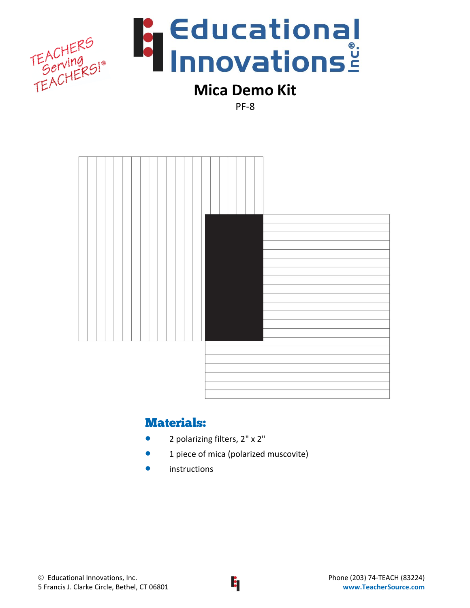

# **Mica Demo Kit**

PF-8



## Materials:

- 2 polarizing filters, 2" x 2"
- **1** piece of mica (polarized muscovite)
- **•** instructions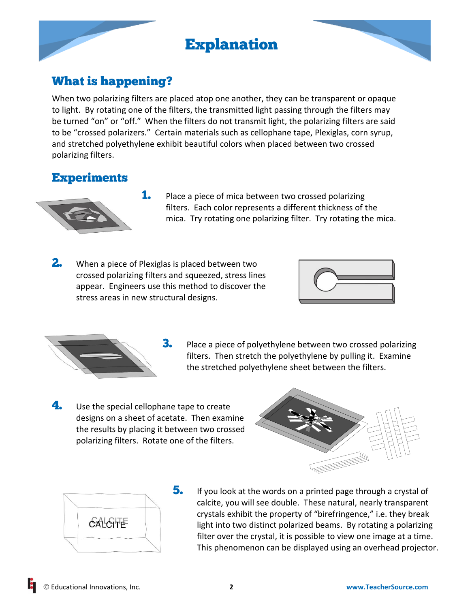# Explanation



## What is happening?

When two polarizing filters are placed atop one another, they can be transparent or opaque to light. By rotating one of the filters, the transmitted light passing through the filters may be turned "on" or "off." When the filters do not transmit light, the polarizing filters are said to be "crossed polarizers." Certain materials such as cellophane tape, Plexiglas, corn syrup, and stretched polyethylene exhibit beautiful colors when placed between two crossed polarizing filters.

## **Experiments**



- **1.** Place a piece of mica between two crossed polarizing filters. Each color represents a different thickness of the mica. Try rotating one polarizing filter. Try rotating the mica.
- **2.** When a piece of Plexiglas is placed between two crossed polarizing filters and squeezed, stress lines appear. Engineers use this method to discover the stress areas in new structural designs.





- **3.** Place a piece of polyethylene between two crossed polarizing filters. Then stretch the polyethylene by pulling it. Examine the stretched polyethylene sheet between the filters.
- **4.** Use the special cellophane tape to create designs on a sheet of acetate. Then examine the results by placing it between two crossed polarizing filters. Rotate one of the filters.





5. If you look at the words on a printed page through a crystal of calcite, you will see double. These natural, nearly transparent crystals exhibit the property of "birefringence," i.e. they break light into two distinct polarized beams. By rotating a polarizing filter over the crystal, it is possible to view one image at a time. This phenomenon can be displayed using an overhead projector.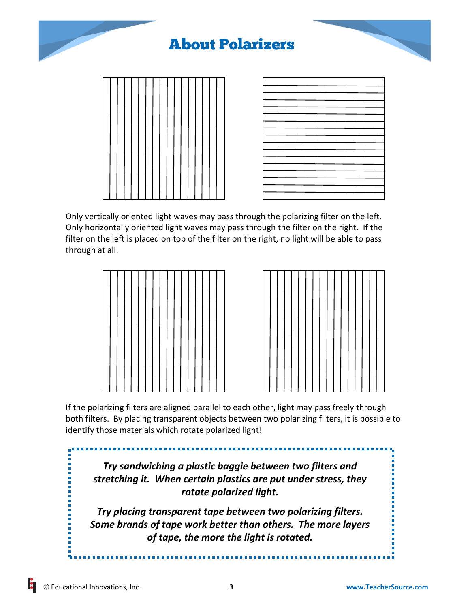

Only vertically oriented light waves may pass through the polarizing filter on the left. Only horizontally oriented light waves may pass through the filter on the right. If the filter on the left is placed on top of the filter on the right, no light will be able to pass through at all.





If the polarizing filters are aligned parallel to each other, light may pass freely through both filters. By placing transparent objects between two polarizing filters, it is possible to identify those materials which rotate polarized light!

*Try sandwiching a plastic baggie between two filters and stretching it. When certain plastics are put under stress, they rotate polarized light.*

*Try placing transparent tape between two polarizing filters. Some brands of tape work better than others. The more layers of tape, the more the light is rotated.*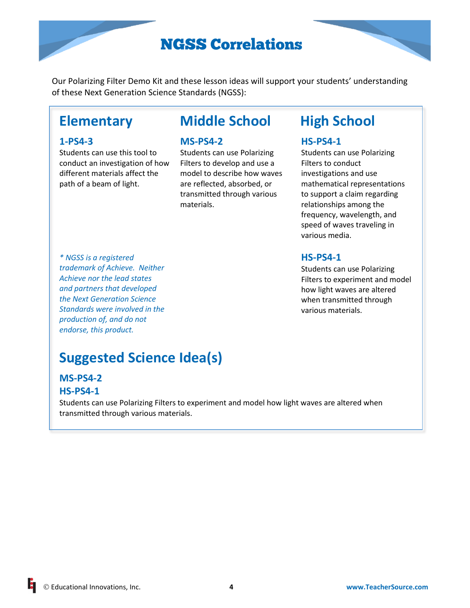# NGSS Correlations

Our Polarizing Filter Demo Kit and these lesson ideas will support your students' understanding of these Next Generation Science Standards (NGSS):

#### **1-PS4-3**

Students can use this tool to conduct an investigation of how different materials affect the path of a beam of light.

## **Elementary Middle School High School**

#### **MS-PS4-2**

Students can use Polarizing Filters to develop and use a model to describe how waves are reflected, absorbed, or transmitted through various materials.

### **HS-PS4-1**

Students can use Polarizing Filters to conduct investigations and use mathematical representations to support a claim regarding relationships among the frequency, wavelength, and speed of waves traveling in various media.

## **HS-PS4-1**

Students can use Polarizing Filters to experiment and model how light waves are altered when transmitted through various materials.

*\* NGSS is a registered trademark of Achieve. Neither Achieve nor the lead states and partners that developed the Next Generation Science Standards were involved in the production of, and do not endorse, this product.*

# **Suggested Science Idea(s)**

## **MS-PS4-2**

### **HS-PS4-1**

Students can use Polarizing Filters to experiment and model how light waves are altered when transmitted through various materials.